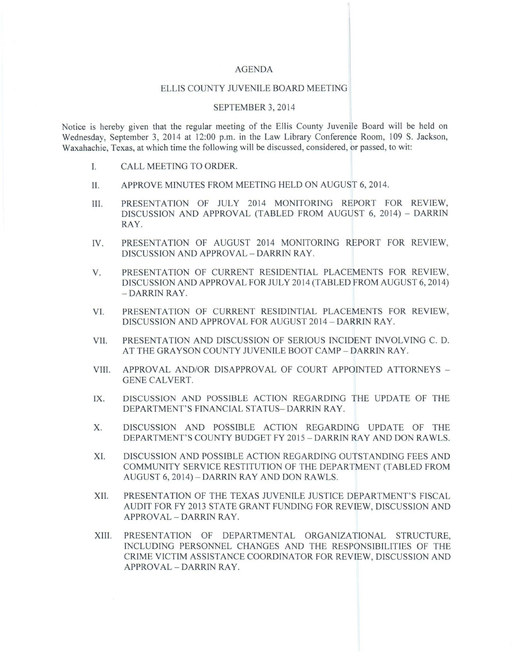## AGENDA

## ELLIS COUNTY JUVENILE BOARD MEETING

## SEPTEMBER 3, 2014

Notice is hereby given that the regular meeting of the Ellis County Juvenile Board will be held on Wednesday, September 3, 2014 at 12:00 p.m. in the Law Library Conference Room, 109 S. Jackson, Waxahachie, Texas, at which time the following will be discussed, considered, or passed, to wit:

- I. CALL MEETING TO ORDER.
- II. APPROVE MINUTES FROM MEETING HELD ON AUGUST 6, 2014.
- III. PRESENTATION OF JULY 2014 MONITORING REPORT FOR REVIEW, DISCUSSION AND APPROVAL (TABLED FROM AUGUST 6, 2014) - DARRIN RAY.
- IV. PRESENTATION OF AUGUST 2014 MONITORING REPORT FOR REVIEW, DISCUSSION AND APPROVAL - DARRIN RAY.
- V. PRESENTATION OF CURRENT RESIDENTIAL PLACEMENTS FOR REVIEW, DISCUSSION AND APPROVAL FOR JULY 2014 (TABLED FROM AUGUST 6, 2014) - DARRIN RAY.
- VI. PRESENTATION OF CURRENT RESIDINTIAL PLACEMENTS FOR REVIEW, DISCUSSION AND APPROVAL FOR AUGUST 2014 - DARRIN RAY.
- VII. PRESENTATION AND DISCUSSION OF SERIOUS INCIDENT INVOLVING C. D. A T THE GRAYSON COUNTY JUVENILE BOOT CAMP - DARRIN RAY.
- VIII. APPROVAL AND/OR DISAPPROVAL OF COURT APPOINTED ATTORNEYS -GENE CALVERT.
- IX. DISCUSSION AND POSSIBLE ACTION REGARDING THE UPDATE OF THE DEPARTMENT'S FINANCIAL STATUS- DARRIN RAY.
- X. DISCUSSION AND POSSIBLE ACTION REGARDING UPDATE OF THE DEPARTMENT'S COUNTY BUDGET FY 2015 - DARRIN RAY AND DON RAWLS.
- XI. DISCUSSION AND POSSIBLE ACTION REGARDING OUTSTANDING FEES AND COMMUNITY SERVICE RESTITUTION OF THE DEPARTMENT (TABLED FROM AUGUST 6, 2014) - DARRIN RAY AND DON RAWLS.
- XII. PRESENTATION OF THE TEXAS JUVENILE JUSTICE DEPARTMENT'S FISCAL AUDIT FOR FY 2013 STATE GRANT FUNDING FOR REVIEW, DISCUSSION AND APPROVAL - DARRIN RAY.
- XIII. PRESENTATION OF DEPARTMENTAL ORGANIZATIONAL STRUCTURE, INCLUDING PERSONNEL CHANGES AND THE RESPONSIBILITIES OF THE CRIME VICTIM ASSISTANCE COORDINATOR FOR REVIEW, DISCUSSION AND APPROVAL - DARRIN RAY.